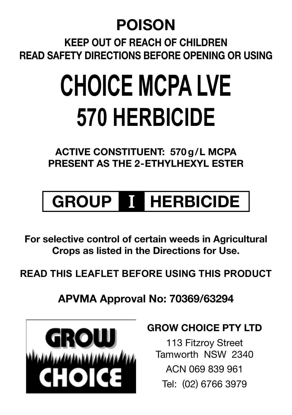## **POISON**

**Keep out of reach of children Read safety directions before opening or using**

# **CHOICE MCPA LVE 570 HERBICIDE**

**ACTIVE CONSTITUENT: 570g/L MCPA present as the 2-ETHYLHEXYL ESTER**

## **GROUP** I **HERBICIDE**

**For selective control of certain weeds in Agricultural Crops as listed in the Directions for Use.**

**READ THIS LEAFLET BEFORE USING THIS PRODUCT**

**APVMA Approval No: 70369/63294**



## **GROW CHOICE PTY LTD**

113 Fitzroy Street Tamworth NSW 2340 ACN 069 839 961 Tel: (02) 6766 3979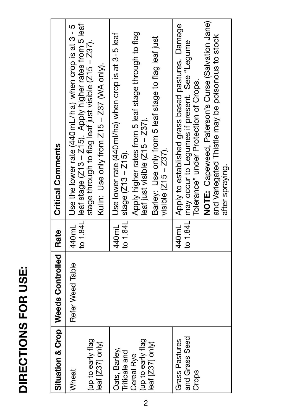|                                           | Situation & Crop   Weeds Controlled   Rate |                | <b>Critical Comments</b>                                                                                                                                             |
|-------------------------------------------|--------------------------------------------|----------------|----------------------------------------------------------------------------------------------------------------------------------------------------------------------|
| Wheat                                     | Refer Weed Table                           |                | 440mL   Use the lower rate (440mL/ha) when crop is at 3 - 5                                                                                                          |
| l (up to early flag<br>leaf [Z37] only)   |                                            |                | to 1.84L leaf stage (Z13 - Z15). Apply higher rates from 5 leaf<br>stage through to flag leaf just visible (Z15 - Z37).<br>Kulin: Use only from Z15 - Z37 (WA only). |
| Oats, Barley,<br>Triticale and            |                                            |                | 440mL Use lower rate (440 ml/ha) when crop is at 3-5 leaf<br>to 1.84L stage $(Z13 - Z15)$ .                                                                          |
| (up to early flag<br>Cereal Rve           |                                            |                | Apply higher rates from 5 leaf stage through to flag<br>leaf just visible (Z15 - Z37).                                                                               |
| leaf $[237]$ only)                        |                                            |                | Barley: Use only from 5 leaf stage to flag leaf just<br>visible $(215 - 237)$ .                                                                                      |
| and Grass Seed<br>Grass Pastures<br>Crops |                                            | 1.84L<br>440mL | Apply to established grass based pastures. Damage<br>may occur to Legumes if present. See "Legume<br>Tolerance" under Protection of Crops.                           |
|                                           |                                            |                | NOTE: Capeweed, Paterson's Curse (Salvation Jane)<br>and Variegated Thistle may be poisonous to stock                                                                |
|                                           |                                            |                | after spraying.                                                                                                                                                      |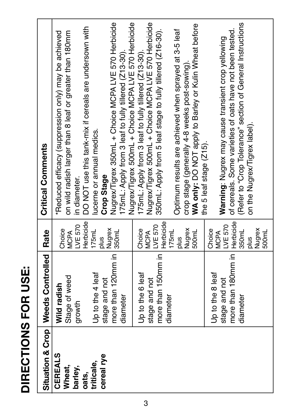|   | ī |
|---|---|
|   |   |
| ı |   |
|   |   |

|                | Situation & Crop   Weeds Controlled | Rate                   | <b>Critical Comments</b>                                   |
|----------------|-------------------------------------|------------------------|------------------------------------------------------------|
| <b>CEREALS</b> | Wild radish                         | Choice                 | *Reduced efficacy (suppression only) may be achieved       |
| Wheat,         | Stage of weed                       | <b>MCPA</b>            | on wild radish larger than 8 leaf or greater than 180mm    |
| barley,        | growth                              | LVE 570                | in diameter.                                               |
| oats,          |                                     | Herbicide              | DO NOT use this tank-mix if cereals are undersown with     |
| triticale,     | Up to the 4 leaf                    | 175mL                  | lucerne or annual medics.                                  |
| cereal rye     | stage and not                       | plus                   | Crop Stage                                                 |
|                | more than 120mm in                  | Nugrex<br>350mL        | Nugrex/Tigrex 350mL + Choice MCPA LVE 570 Herbicide        |
|                | diameter                            |                        | 175mL: Apply from 3 leaf to fully tillered (Z13-30).       |
|                |                                     |                        | Nugrex/Tigrex 500mL + Choice MCPA LVE 570 Herbicide        |
|                | Up to the 6 leaf                    | Choice                 | I75mL: Apply from 3 leaf to fully tillered (Z13-30).       |
|                | stage and not                       | <b>MCPA</b>            | Nugrex/Tigrex 500mL + Choice MCPA LVE 570 Herbicide        |
|                | more than 150mm in                  | LVE 570                | 350mL: Apply from 5 leaf stage to fully tillered (Z16-30). |
|                | diameter                            | 175mL                  |                                                            |
|                |                                     | plus                   | Optimum results are achieved when sprayed at 3-5 leaf      |
|                |                                     | Nugrex                 | crop stage (generally 4-8 weeks post-sowing).              |
|                |                                     | 500mL                  | WA only: DO NOT apply to Barley or Kulin Wheat before      |
|                |                                     |                        | the 5 leaf stage (Z15).                                    |
|                | Up to the 8 leaf                    | Choice                 |                                                            |
|                | stage and not                       | LVE 570<br><b>MCPA</b> | Warning: Nugrex may cause transient crop yellowing         |
|                | more than 180mm in   Herbicide      |                        | of cereals. Some varieties of oats have not been tested    |
|                | diameter                            | 350mL                  | (Refer to "Crop Tolerance" section of General Instructions |
|                |                                     | plus                   | on the Nugrex/Tigrex label).                               |
|                |                                     | Nugrex<br>500mL        |                                                            |
|                |                                     |                        |                                                            |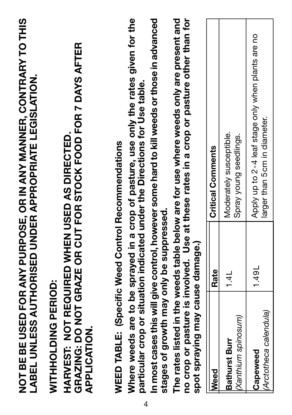|   |                                                                                                   |       | NOT BE BE USED FOR ANY PURPOSE, OR IN ANY MANNER, CONTRARY TO THIS<br>LABEL UNLESS AUTHORISED UNDER APPROPRIATE LEGISLATION.                                                     |
|---|---------------------------------------------------------------------------------------------------|-------|----------------------------------------------------------------------------------------------------------------------------------------------------------------------------------|
|   | HARVEST: NOT REQUIRED WHEN USED AS DIRECTED.<br><b>WITHHOLDING PERIOD:</b><br><b>APPLICATION.</b> |       | GRAZING: DO NOT GRAZE OR CUT FOR STOCK FOOD FOR 7 DAYS AFTER                                                                                                                     |
|   | WEED TABLE: (Specific Weed Control Recommendations                                                |       | Where weeds are to be sprayed in a crop of pasture, use only the rates given for the                                                                                             |
| 4 |                                                                                                   |       | In most cases this will give control, however some hard to kill weeds or those in advanced<br>particular crop or situation indicated under the Directions for Use table.         |
|   | stages of growth may only be suppressed.                                                          |       |                                                                                                                                                                                  |
|   | spot spraying may cause damage.)                                                                  |       | no crop or pasture is involved. Use at these rates in a crop or pasture other than for<br>The rates listed in the weeds table below are for use where weeds only are present and |
|   | <b>Meed</b>                                                                                       | Rate  | Critical Comments                                                                                                                                                                |
|   | (Xanthium spinosum)<br>Bathurst Burr                                                              | 14L   | Moderately susceptible.<br>Spray young seedlings.                                                                                                                                |
|   | (Arctotheca calendula)<br>Capeweed                                                                | 1.49L | Apply up to 2-4 leaf stage only when plants are no<br>larger than 5cm in diameter.                                                                                               |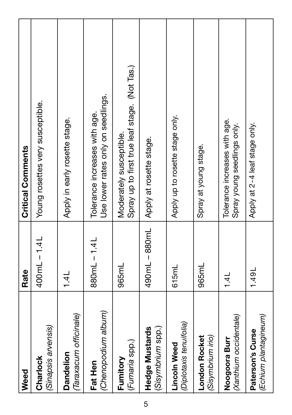| Weed                                           | Rate             | <b>Critical Comments</b>                                                 |
|------------------------------------------------|------------------|--------------------------------------------------------------------------|
| (Sinapsis arvensis)<br>Charlock                | 400 mL - 1.4L    | Young rosettes very susceptible.                                         |
| (Taraxacum officinale)<br>Dandelion            | 1.4 <sub>L</sub> | Apply in early rosette stage.                                            |
| (Chenopodium album)<br>Fat Hen                 | 880mL-1.4L       | Use lower rates only on seedlings.<br>Tolerance increases with age.      |
| (Fumaria spp.)<br>Fumitory                     | 965mL            | Spray up to first true leaf stage. (Not Tas.)<br>Moderately susceptible. |
| (Sisymbrium spp.)<br><b>Hedge Mustards</b>     | 490mL - 880mL    | Apply at rosette stage.                                                  |
| (Diplotaxis tenuifolia)<br><b>Lincoln Weed</b> | 615mL            | Apply up to rosette stage only.                                          |
| (Sisymbrium irio)<br><b>London Rocket</b>      | 965mL            | Spray at young stage.                                                    |
| (Xanthium occidentale)<br>Noogoora Burr        | 1.4              | Tolerance increases with age.<br>Spray young seedlings only.             |
| (Echium plantagineum)<br>Paterson's Curse      | 1.49L            | Apply at 2-4 leaf stage only.                                            |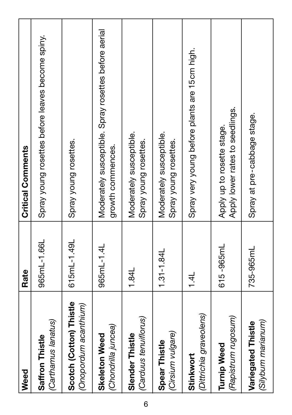| Weed                                             | Rate          | <b>Critical Comments</b>                                                  |
|--------------------------------------------------|---------------|---------------------------------------------------------------------------|
| (Carthamus lanatus)<br>Saffron Thistle           | 965mL-1.66L   | Spray young rosettes before leaves become spiny.                          |
| Scotch (Cotton) Thistle<br>(Onopordum acanthium) | 615mL-1.49L   | Spray young rosettes.                                                     |
| (Chondrilla juncea)<br><b>Skeleton Weed</b>      | 965mL-1.4L    | Moderately susceptible. Spray rosettes before aerial<br>growth commences. |
| (Carduus tenuiflorus)<br>Slender Thistle         | 1.84L         | Moderately susceptible.<br>Spray young rosettes.                          |
| (Cirsium vulgare)<br>Spear Thistle               | $1.31 - 1.84$ | Moderately susceptible.<br>Spray young rosettes.                          |
| (Dittrichia graveolens)<br>Stinkwort             | 1.4           | Spray very young before plants are 15cm high.                             |
| (Rapistrum rugosum)<br><b>Turnip Weed</b>        | 615 -965mL    | Apply lower rates to seedlings.<br>Apply up to rosette stage.             |
| (Silybum marianum)<br>Variegated Thistle         | 735-965mL     | Spray at pre-cabbage stage.                                               |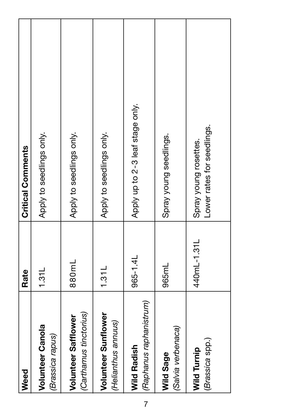| Weed                                              | Rate        | <b>Critical Comments</b>                            |
|---------------------------------------------------|-------------|-----------------------------------------------------|
| Volunteer Canola<br>(Brassica rapus)              | 1.31L       | Apply to seedlings only.                            |
| (Carthamus tinctorius)<br>Volunteer Safflower     | 880mL       | Apply to seedlings only.                            |
| <b>Volunteer Sunflower</b><br>(Helianthus annuus) | 1.31L       | Apply to seedlings only.                            |
| (Raphanus raphanistrum)<br><b>Wild Radish</b>     | 965-1.4L    | Apply up to 2-3 leaf stage only.                    |
| (Salvia verbenaca)<br>Wild Sage                   | 965mL       | Spray young seedlings.                              |
| (Brassica spp.)<br><b>Wild Turnip</b>             | 440mL-1.31L | Lower rates for seedlings.<br>Spray young rosettes. |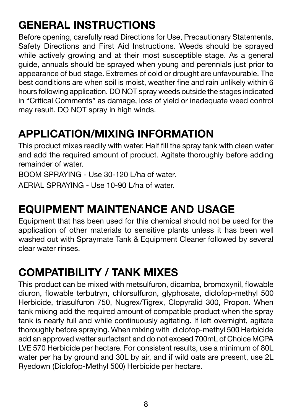## **GENERAL INSTRUCTIONS**

Before opening, carefully read Directions for Use, Precautionary Statements, Safety Directions and First Aid Instructions. Weeds should be sprayed while actively growing and at their most susceptible stage. As a general guide, annuals should be sprayed when young and perennials just prior to appearance of bud stage. Extremes of cold or drought are unfavourable. The best conditions are when soil is moist, weather fine and rain unlikely within 6 hours following application. DO NOT spray weeds outside the stages indicated in "Critical Comments" as damage, loss of yield or inadequate weed control may result. DO NOT spray in high winds.

## **APPLICATION/MIXING INFORMATION**

This product mixes readily with water. Half fill the spray tank with clean water and add the required amount of product. Agitate thoroughly before adding remainder of water.

BOOM SPRAYING - Use 30-120 L/ha of water.

AERIAL SPRAYING - Use 10-90 L/ha of water.

## **EQUIPMENT MAINTENANCE AND USAGE**

Equipment that has been used for this chemical should not be used for the application of other materials to sensitive plants unless it has been well washed out with Spraymate Tank & Equipment Cleaner followed by several clear water rinses.

## **COMPATIBILITY / TANK MIXES**

This product can be mixed with metsulfuron, dicamba, bromoxynil, flowable diuron, flowable terbutryn, chlorsulfuron, glyphosate, diclofop-methyl 500 Herbicide, triasulfuron 750, Nugrex/Tigrex, Clopyralid 300, Propon. When tank mixing add the required amount of compatible product when the spray tank is nearly full and while continuously agitating. If left overnight, agitate thoroughly before spraying. When mixing with diclofop-methyl 500 Herbicide add an approved wetter surfactant and do not exceed 700mL of Choice MCPA LVE 570 Herbicide per hectare. For consistent results, use a minimum of 80L water per ha by ground and 30L by air, and if wild oats are present, use 2L Ryedown (Diclofop-Methyl 500) Herbicide per hectare.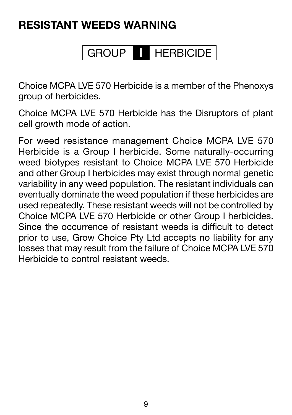## **RESISTANT WEEDS WARNING**

## GROUP **I** HERBICIDE

Choice MCPA LVE 570 Herbicide is a member of the Phenoxys group of herbicides.

Choice MCPA LVE 570 Herbicide has the Disruptors of plant cell growth mode of action.

For weed resistance management Choice MCPA LVE 570 Herbicide is a Group I herbicide. Some naturally-occurring weed biotypes resistant to Choice MCPA LVE 570 Herbicide and other Group I herbicides may exist through normal genetic variability in any weed population. The resistant individuals can eventually dominate the weed population if these herbicides are used repeatedly. These resistant weeds will not be controlled by Choice MCPA LVE 570 Herbicide or other Group I herbicides. Since the occurrence of resistant weeds is difficult to detect prior to use, Grow Choice Pty Ltd accepts no liability for any losses that may result from the failure of Choice MCPA LVE 570 Herbicide to control resistant weeds.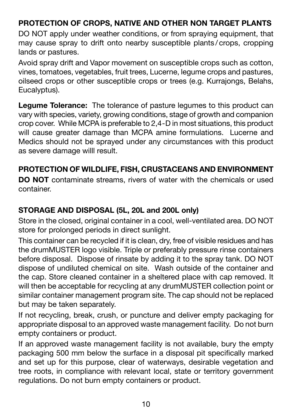#### **PROTECTION OF CROPS, NATIVE AND OTHER NON TARGET PLANTS**

DO NOT apply under weather conditions, or from spraying equipment, that may cause spray to drift onto nearby susceptible plants / crops, cropping lands or pastures.

Avoid spray drift and Vapor movement on susceptible crops such as cotton, vines, tomatoes, vegetables, fruit trees, Lucerne, legume crops and pastures, oilseed crops or other susceptible crops or trees (e.g. Kurrajongs, Belahs, Eucalyptus).

**Legume Tolerance:** The tolerance of pasture legumes to this product can vary with species, variety, growing conditions, stage of growth and companion crop cover. While MCPA is preferable to 2,4-D in most situations, this product will cause greater damage than MCPA amine formulations. Lucerne and Medics should not be sprayed under any circumstances with this product as severe damage willl result.

#### **PROTECTION OF WILDLIFE, FISH, CRUSTACEANS AND ENVIRONMENT**

**DO NOT** contaminate streams, rivers of water with the chemicals or used container.

#### **STORAGE AND DISPOSAL (5L, 20L and 200L only)**

Store in the closed, original container in a cool, well-ventilated area. DO NOT store for prolonged periods in direct sunlight.

This container can be recycled if it is clean, dry, free of visible residues and has the drumMUSTER logo visible. Triple or preferably pressure rinse containers before disposal. Dispose of rinsate by adding it to the spray tank. DO NOT dispose of undiluted chemical on site. Wash outside of the container and the cap. Store cleaned container in a sheltered place with cap removed. It will then be acceptable for recycling at any drumMUSTER collection point or similar container management program site. The cap should not be replaced but may be taken separately.

If not recycling, break, crush, or puncture and deliver empty packaging for appropriate disposal to an approved waste management facility. Do not burn empty containers or product.

If an approved waste management facility is not available, bury the empty packaging 500 mm below the surface in a disposal pit specifically marked and set up for this purpose, clear of waterways, desirable vegetation and tree roots, in compliance with relevant local, state or territory government regulations. Do not burn empty containers or product.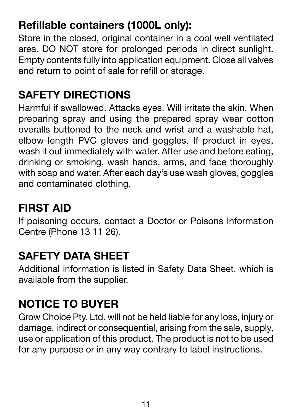## **Refillable containers (1000L only):**

Store in the closed, original container in a cool well ventilated area. DO NOT store for prolonged periods in direct sunlight. Empty contents fully into application equipment. Close all valves and return to point of sale for refill or storage.

## **SAFETY DIRECTIONS**

Harmful if swallowed. Attacks eyes. Will irritate the skin. When preparing spray and using the prepared spray wear cotton overalls buttoned to the neck and wrist and a washable hat, elbow-length PVC gloves and goggles. If product in eyes, wash it out immediately with water. After use and before eating, drinking or smoking, wash hands, arms, and face thoroughly with soap and water. After each day's use wash gloves, goggles and contaminated clothing.

## **FIRST AID**

If poisoning occurs, contact a Doctor or Poisons Information Centre (Phone 13 11 26).

## **SAFETY DATA SHEET**

Additional information is listed in Safety Data Sheet, which is available from the supplier.

## **NOTICE TO BUYER**

Grow Choice Pty. Ltd. will not be held liable for any loss, injury or damage, indirect or consequential, arising from the sale, supply, use or application of this product. The product is not to be used for any purpose or in any way contrary to label instructions.